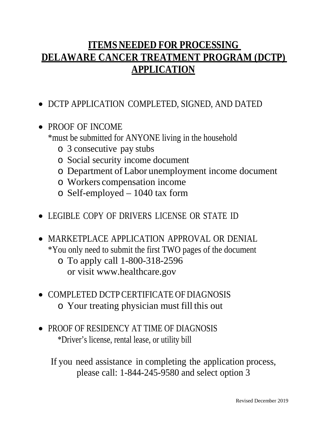# **ITEMS NEEDED FOR PROCESSING DELAWARE CANCER TREATMENT PROGRAM (DCTP) APPLICATION**

- DCTP APPLICATION COMPLETED, SIGNED, AND DATED
- PROOF OF INCOME \*must be submitted for ANYONE living in the household
	- o 3 consecutive pay stubs
	- o Social security income document
	- o Department of Labor unemployment income document
	- o Workers compensation income
	- o Self-employed 1040 tax form
- LEGIBLE COPY OF DRIVERS LICENSE OR STATE ID
- MARKETPLACE APPLICATION APPROVAL OR DENIAL \*You only need to submit the first TWO pages of the document
	- o To apply call 1-800-318-2596 or visit www.healthcare.gov
- COMPLETED DCTP CERTIFICATE OF DIAGNOSIS o Your treating physician must fill this out
- PROOF OF RESIDENCY AT TIME OF DIAGNOSIS \*Driver's license, rental lease, or utility bill

If you need assistance in completing the application process, please call: 1-844-245-9580 and select option 3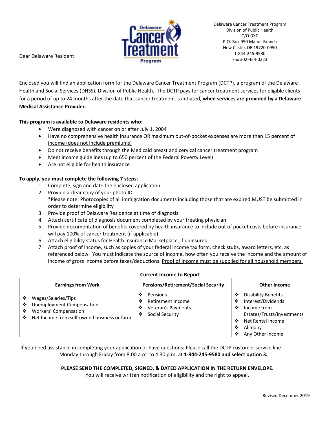

Dear Delaware Resident:

Enclosed you will find an application form for the Delaware Cancer Treatment Program (DCTP), a program of the Delaware Health and Social Services (DHSS), Division of Public Health. The DCTP pays for cancer treatment services for eligible clients for a period of up to 24 months after the date that cancer treatment is initiated, **when services are provided by a Delaware Medical Assistance Provider.**

## **This program is available to Delaware residents who:**

- Were diagnosed with cancer on or after July 1, 2004
- Have no comprehensive health insurance OR maximum out-of-pocket expenses are more than 15 percent of income (does not include premiums)
- Do not receive benefits through the Medicaid breast and cervical cancer treatment program
- Meet income guidelines (up to 650 percent of the Federal Poverty Level)
- Are not eligible for health insurance

### **To apply, you must complete the following 7 steps:**

- 1. Complete, sign and date the enclosed application
- 2. Provide a clear copy of your photo ID \*Please note: Photocopies of all immigration documents including those that are expired MUST be submitted in order to determine eligibility
- 3. Provide proof of Delaware Residence at time of diagnosis
- 4. Attach certificate of diagnosis document completed by your treating physician
- 5. Provide documentation of benefits covered by health insurance to include out of pocket costs before insurance will pay 100% of cancer treatment (if applicable)
- 6. Attach eligibility status for Health Insurance Marketplace, if uninsured
- 7. Attach proof of income, such as copies of your federal income tax form, check stubs, award letters, etc. as referenced below. You must indicate the source of income, how often you receive the income and the amount of income of gross income before taxes/deductions. Proof of income must be supplied for all household members.

| <b>Earnings from Work</b>                                                                                                                           | <b>Pensions/Retirement/Social Security</b>                                                 | <b>Other Income</b>                                                                                                                                                               |
|-----------------------------------------------------------------------------------------------------------------------------------------------------|--------------------------------------------------------------------------------------------|-----------------------------------------------------------------------------------------------------------------------------------------------------------------------------------|
| Wages/Salaries/Tips<br>❖<br><b>Unemployment Compensation</b><br>❖<br>Workers' Compensation<br>❖<br>Net Income from self-owned business or farm<br>❖ | ❖<br>Pensions<br>Retirement Income<br>❖<br>Veteran's Payments<br>❖<br>Social Security<br>❖ | <b>Disability Benefits</b><br>❖<br>Interest/Dividends<br>❖<br>Income from<br>❖<br>Estates/Trusts/Investments<br>Net Rental Income<br>∙≛∙<br>❖<br>Alimony<br>Any Other Income<br>❖ |

#### **Current Income to Report**

If you need assistance in completing your application or have questions: Please call the DCTP customer service line Monday through Friday from 8:00 a.m. to 4:30 p.m. at **1-844-245-9580 and select option 3.**

#### **PLEASE SEND THE COMPLETED, SIGNED, & DATED APPLICATION IN THE RETURN ENVELOPE.**

You will receive written notification of eligibility and the right to appeal.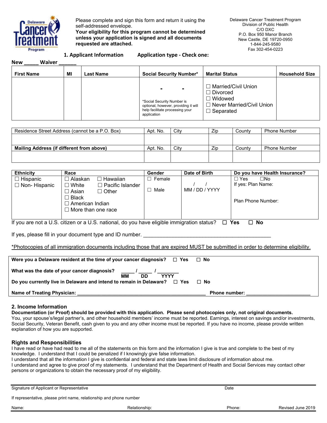

Please complete and sign this form and return it using the self-addressed envelope.

**Your eligibility for this program cannot be determined unless your application is signed and all documents requested are attached.** 

Delaware Cancer Treatment Program Division of Public Health C/O DXC P.O. Box 950 Manor Branch New Castle, DE 19720-0950 1-844-245-9580 Fax 302-454-0223

#### **1. Applicant Information A**

|  |  | <b>Application type - Check one:</b> |  |  |
|--|--|--------------------------------------|--|--|
|--|--|--------------------------------------|--|--|

| <b>New</b><br>Waiver |    |                  |                                                                                                                      |                                                                                                            |                       |
|----------------------|----|------------------|----------------------------------------------------------------------------------------------------------------------|------------------------------------------------------------------------------------------------------------|-----------------------|
| <b>First Name</b>    | ΜI | <b>Last Name</b> | <b>Social Security Number*</b>                                                                                       | <b>Marital Status</b>                                                                                      | <b>Household Size</b> |
|                      |    |                  | *Social Security Number is<br>optional, however, providing it will<br>help facilitate processing your<br>application | □ Married/Civil Union<br>□ Divorced<br>コ Widowed<br>$\Box$ Never Married/Civil Union .<br>$\Box$ Separated |                       |

| Residence Street Address (cannot be a P.O. Box) | Apt. No. | Citv | Zip | Countv | <b>Phone Number</b> |
|-------------------------------------------------|----------|------|-----|--------|---------------------|
|                                                 |          |      |     |        |                     |
|                                                 |          |      |     |        |                     |
| Mailing Address (if different from above)       | Apt. No. | City | Zip | Countv | <b>Phone Number</b> |
|                                                 |          |      |     |        |                     |
|                                                 |          |      |     |        |                     |

| <b>Ethnicity</b>    | Race                                               | <b>Gender</b> | Date of Birth  | Do you have Health Insurance? |
|---------------------|----------------------------------------------------|---------------|----------------|-------------------------------|
| $\Box$ Hispanic     | ∣ Alaskan.<br>Hawaiian<br>$\overline{\phantom{0}}$ | Female        |                | □No<br>□ Yes                  |
| $\Box$ Non-Hispanic | $\Box$ Pacific Islander<br>$\Box$ White            |               |                | If yes: Plan Name:            |
|                     | $\Box$ Asian<br>$\Box$ Other                       | Male          | MM / DD / YYYY |                               |
|                     | $\Box$ Black                                       |               |                |                               |
|                     | $\Box$ American Indian                             |               |                | Plan Phone Number:            |
|                     | $\Box$ More than one race                          |               |                |                               |
|                     |                                                    |               |                |                               |

If you are not a U.S. citizen or a U.S. national, do you have eligible immigration status? **Yes No** 

If yes, please fill in your document type and ID number.

\*Photocopies of all immigration documents including those that are expired MUST be submitted in order to determine eligibility.

| Were you a Delaware resident at the time of your cancer diagnosis? $\Box$ Yes                                       | $\Box$ No            |
|---------------------------------------------------------------------------------------------------------------------|----------------------|
| <b>DD</b><br>ΜМ<br><b>YYYY</b><br>Do you currently live in Delaware and intend to remain in Delaware? $\square$ Yes | □ No                 |
| <b>Name of Treating Physician:</b>                                                                                  | <b>Phone number:</b> |

#### **2. Income Information**

**Documentation (or Proof) should be provided with this application. Please send photocopies only, not original documents.**  You, your spouse's/legal partner's, and other household members' income must be reported. Earnings, interest on savings and/or investments, Social Security, Veteran Benefit, cash given to you and any other income must be reported. If you have no income, please provide written explanation of how you are supported.

#### **Rights and Responsibilities**

I have read or have had read to me all of the statements on this form and the information I give is true and complete to the best of my knowledge. I understand that I could be penalized if I knowingly give false information.

I understand that all the information I give is confidential and federal and state laws limit disclosure of information about me.

I understand and agree to give proof of my statements. I understand that the Department of Health and Social Services may contact other persons or organizations to obtain the necessary proof of my eligibility.

| Signature of Applicant or Representative                            | Date          |        |                   |  |
|---------------------------------------------------------------------|---------------|--------|-------------------|--|
| If representative, please print name, relationship and phone number |               |        |                   |  |
| Name:                                                               | Relationship: | Phone: | Revised June 2019 |  |